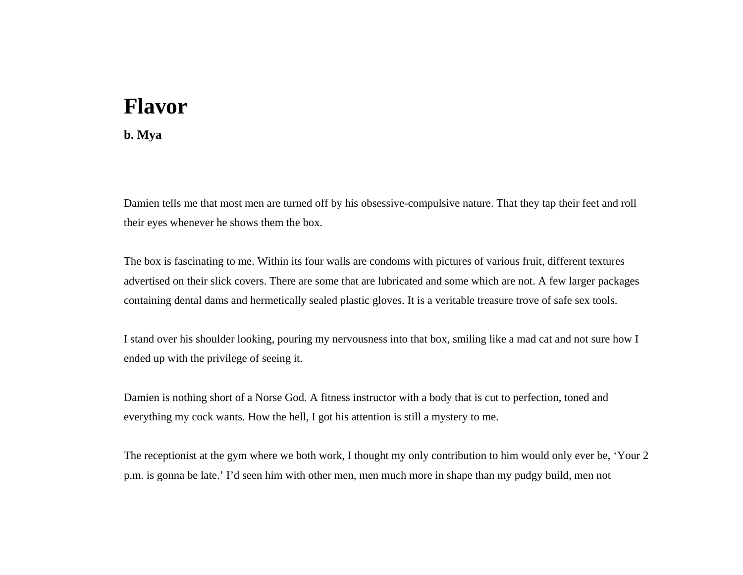## **Flavor**

## **b. Mya**

Damien tells me that most men are turned off by his obsessive-compulsive nature. That they tap their feet and roll their eyes whenever he shows them the box.

The box is fascinating to me. Within its four walls are condoms with pictures of various fruit, different textures advertised on their slick covers. There are some that are lubricated and some which are not. A few larger packages containing dental dams and hermetically sealed plastic gloves. It is a veritable treasure trove of safe sex tools.

I stand over his shoulder looking, pouring my nervousness into that box, smiling like a mad cat and not sure how I ended up with the privilege of seeing it.

Damien is nothing short of a Norse God. A fitness instructor with a body that is cut to perfection, toned and everything my cock wants. How the hell, I got his attention is still a mystery to me.

The receptionist at the gym where we both work, I thought my only contribution to him would only ever be, 'Your 2 p.m. is gonna be late.' I'd seen him with other men, men much more in shape than my pudgy build, men not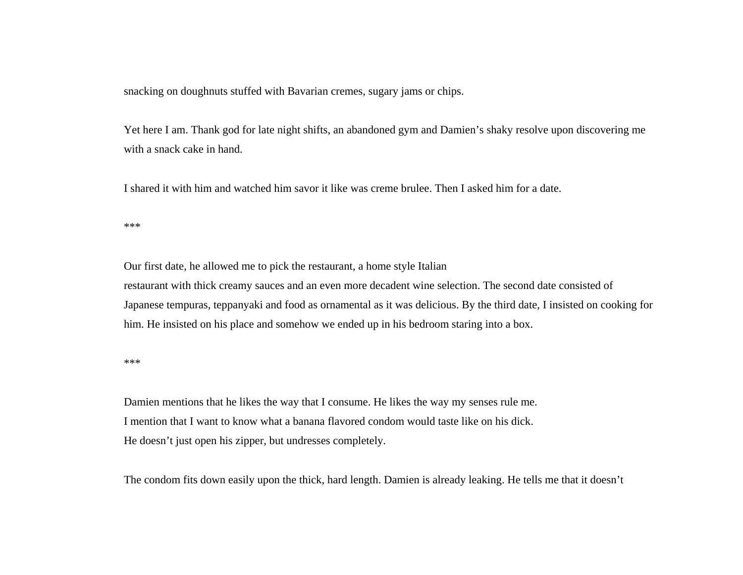snacking on doughnuts stuffed with Bavarian cremes, sugary jams or chips.

Yet here I am. Thank god for late night shifts, an abandoned gym and Damien's shaky resolve upon discovering me with a snack cake in hand.

I shared it with him and watched him savor it like was creme brulee. Then I asked him for a date.

\*\*\*

Our first date, he allowed me to pick the restaurant, a home style Italian restaurant with thick creamy sauces and an even more decadent wine selection. The second date consisted of Japanese tempuras, teppanyaki and food as ornamental as it was delicious. By the third date, I insisted on cooking for him. He insisted on his place and somehow we ended up in his bedroom staring into a box.

\*\*\*

Damien mentions that he likes the way that I consume. He likes the way my senses rule me. I mention that I want to know what a banana flavored condom would taste like on his dick. He doesn't just open his zipper, but undresses completely.

The condom fits down easily upon the thick, hard length. Damien is already leaking. He tells me that it doesn't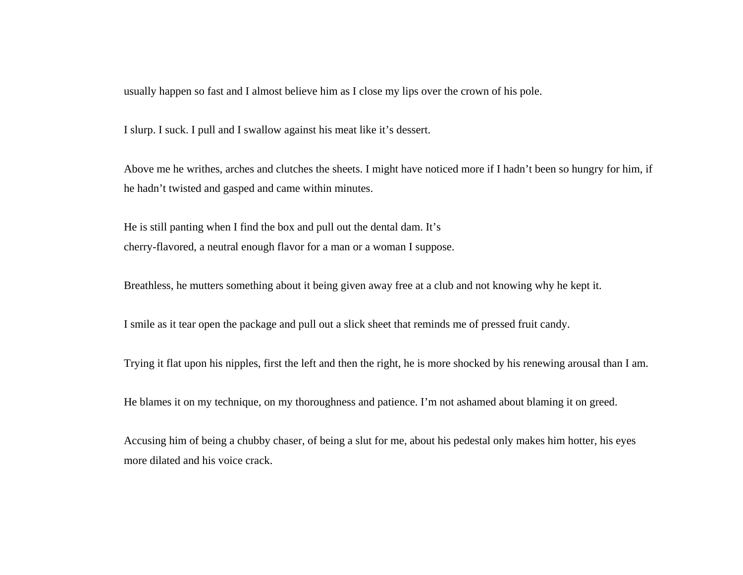usually happen so fast and I almost believe him as I close my lips over the crown of his pole.

I slurp. I suck. I pull and I swallow against his meat like it's dessert.

Above me he writhes, arches and clutches the sheets. I might have noticed more if I hadn't been so hungry for him, if he hadn't twisted and gasped and came within minutes.

He is still panting when I find the box and pull out the dental dam. It's cherry-flavored, a neutral enough flavor for a man or a woman I suppose.

Breathless, he mutters something about it being given away free at a club and not knowing why he kept it.

I smile as it tear open the package and pull out a slick sheet that reminds me of pressed fruit candy.

Trying it flat upon his nipples, first the left and then the right, he is more shocked by his renewing arousal than I am.

He blames it on my technique, on my thoroughness and patience. I'm not ashamed about blaming it on greed.

Accusing him of being a chubby chaser, of being a slut for me, about his pedestal only makes him hotter, his eyes more dilated and his voice crack.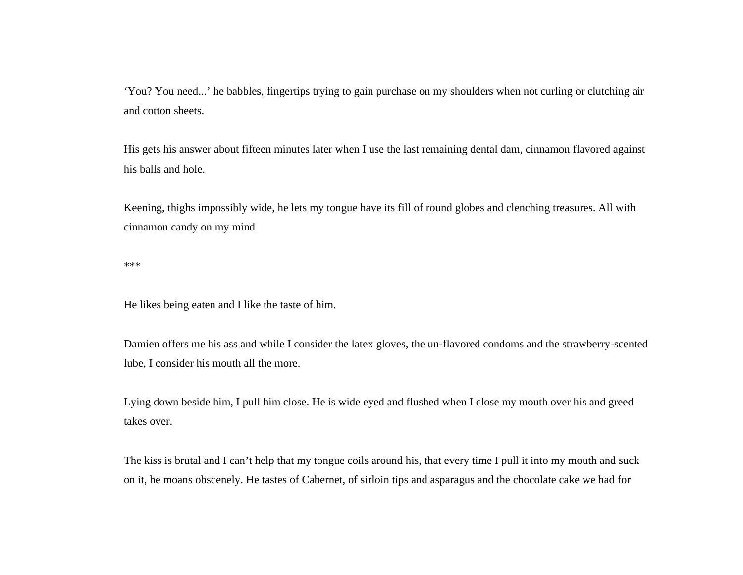'You? You need...' he babbles, fingertips trying to gain purchase on my shoulders when not curling or clutching air and cotton sheets.

His gets his answer about fifteen minutes later when I use the last remaining dental dam, cinnamon flavored against his balls and hole.

Keening, thighs impossibly wide, he lets my tongue have its fill of round globes and clenching treasures. All with cinnamon candy on my mind

\*\*\*

He likes being eaten and I like the taste of him.

Damien offers me his ass and while I consider the latex gloves, the un-flavored condoms and the strawberry-scented lube, I consider his mouth all the more.

Lying down beside him, I pull him close. He is wide eyed and flushed when I close my mouth over his and greed takes over.

The kiss is brutal and I can't help that my tongue coils around his, that every time I pull it into my mouth and suck on it, he moans obscenely. He tastes of Cabernet, of sirloin tips and asparagus and the chocolate cake we had for